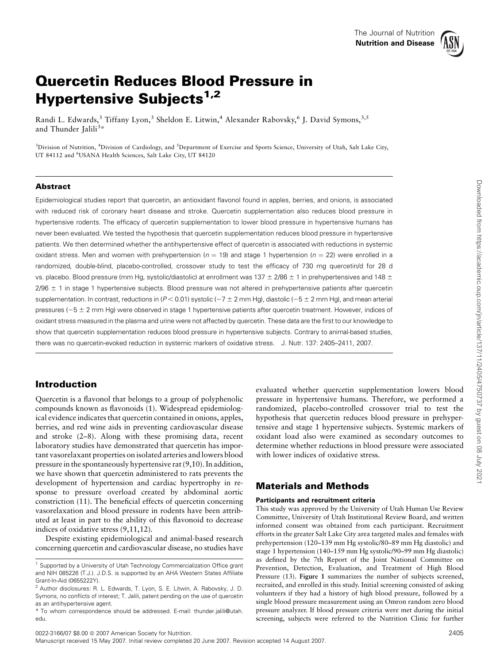

# Quercetin Reduces Blood Pressure in Hypertensive Subjects<sup>1,2</sup>

Randi L. Edwards,<sup>3</sup> Tiffany Lyon,<sup>3</sup> Sheldon E. Litwin,<sup>4</sup> Alexander Rabovsky,<sup>6</sup> J. David Symons,<sup>3,5</sup> and Thunder Jalili<sup>3\*</sup>

<sup>3</sup>Division of Nutrition, <sup>4</sup>Division of Cardiology, and <sup>5</sup>Department of Exercise and Sports Science, University of Utah, Salt Lake City, UT 84112 and <sup>6</sup>USANA Health Sciences, Salt Lake City, UT 84120

# Abstract

Epidemiological studies report that quercetin, an antioxidant flavonol found in apples, berries, and onions, is associated with reduced risk of coronary heart disease and stroke. Quercetin supplementation also reduces blood pressure in hypertensive rodents. The efficacy of quercetin supplementation to lower blood pressure in hypertensive humans has never been evaluated. We tested the hypothesis that quercetin supplementation reduces blood pressure in hypertensive patients. We then determined whether the antihypertensive effect of quercetin is associated with reductions in systemic oxidant stress. Men and women with prehypertension ( $n = 19$ ) and stage 1 hypertension ( $n = 22$ ) were enrolled in a randomized, double-blind, placebo-controlled, crossover study to test the efficacy of 730 mg quercetin/d for 28 d vs. placebo. Blood pressure (mm Hg, systolic/diastolic) at enrollment was  $137 \pm 2/86 \pm 1$  in prehypertensives and  $148 \pm 1$  $2/96 \pm 1$  in stage 1 hypertensive subjects. Blood pressure was not altered in prehypertensive patients after quercetin supplementation. In contrast, reductions in (P < 0.01) systolic (-7  $\pm$  2 mm Hg), diastolic (-5  $\pm$  2 mm Hg), and mean arterial pressures ( $-5 \pm 2$  mm Hg) were observed in stage 1 hypertensive patients after quercetin treatment. However, indices of oxidant stress measured in the plasma and urine were not affected by quercetin. These data are the first to our knowledge to show that quercetin supplementation reduces blood pressure in hypertensive subjects. Contrary to animal-based studies, there was no quercetin-evoked reduction in systemic markers of oxidative stress. J. Nutr. 137: 2405–2411, 2007.

# Introduction

Quercetin is a flavonol that belongs to a group of polyphenolic compounds known as flavonoids (1). Widespread epidemiological evidence indicates that quercetin contained in onions, apples, berries, and red wine aids in preventing cardiovascular disease and stroke (2–8). Along with these promising data, recent laboratory studies have demonstrated that quercetin has important vasorelaxant properties on isolated arteries and lowers blood pressure in the spontaneously hypertensive rat (9,10). In addition, we have shown that quercetin administered to rats prevents the development of hypertension and cardiac hypertrophy in response to pressure overload created by abdominal aortic constriction (11). The beneficial effects of quercetin concerning vasorelaxation and blood pressure in rodents have been attributed at least in part to the ability of this flavonoid to decrease indices of oxidative stress (9,11,12).

Despite existing epidemiological and animal-based research concerning quercetin and cardiovascular disease, no studies have evaluated whether quercetin supplementation lowers blood pressure in hypertensive humans. Therefore, we performed a randomized, placebo-controlled crossover trial to test the hypothesis that quercetin reduces blood pressure in prehypertensive and stage 1 hypertensive subjects. Systemic markers of oxidant load also were examined as secondary outcomes to determine whether reductions in blood pressure were associated with lower indices of oxidative stress.

# Materials and Methods

## Participants and recruitment criteria

This study was approved by the University of Utah Human Use Review Committee, University of Utah Institutional Review Board, and written informed consent was obtained from each participant. Recruitment efforts in the greater Salt Lake City area targeted males and females with prehypertension (120–139 mm Hg systolic/80–89 mm Hg diastolic) and stage 1 hypertension (140–159 mm Hg systolic/90–99 mm Hg diastolic) as defined by the 7th Report of the Joint National Committee on Prevention, Detection, Evaluation, and Treatment of High Blood Pressure (13). Figure 1 summarizes the number of subjects screened, recruited, and enrolled in this study. Initial screening consisted of asking volunteers if they had a history of high blood pressure, followed by a single blood pressure measurement using an Omron random zero blood pressure analyzer. If blood pressure criteria were met during the initial screening, subjects were referred to the Nutrition Clinic for further

 $1$  Supported by a University of Utah Technology Commercialization Office grant and NIH 085226 (T.J.). J.D.S. is supported by an AHA Western States Affiliate Grant-In-Aid (0655222Y).

<sup>2</sup> Author disclosures: R. L. Edwards, T. Lyon, S. E. Litwin, A. Rabovsky, J. D. Symons, no conflicts of interest; T. Jalili, patent pending on the use of quercetin as an antihypertensive agent.

<sup>\*</sup> To whom correspondence should be addressed. E-mail: thunder.jalili@utah. edu.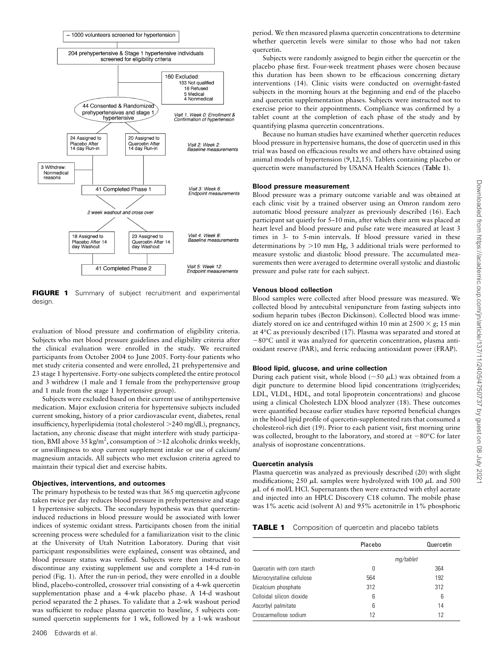

FIGURE 1 Summary of subject recruitment and experimental design.

evaluation of blood pressure and confirmation of eligibility criteria. Subjects who met blood pressure guidelines and eligibility criteria after the clinical evaluation were enrolled in the study. We recruited participants from October 2004 to June 2005. Forty-four patients who met study criteria consented and were enrolled, 21 prehypertensive and 23 stage 1 hypertensive. Forty-one subjects completed the entire protocol and 3 withdrew (1 male and 1 female from the prehypertensive group and 1 male from the stage 1 hypertensive group).

Subjects were excluded based on their current use of antihypertensive medication. Major exclusion criteria for hypertensive subjects included current smoking, history of a prior cardiovascular event, diabetes, renal insufficiency, hyperlipidemia (total cholesterol >240 mg/dL), pregnancy, lactation, any chronic disease that might interfere with study participation, BMI above 35 kg/m<sup>2</sup>, consumption of >12 alcoholic drinks weekly, or unwillingness to stop current supplement intake or use of calcium/ magnesium antacids. All subjects who met exclusion criteria agreed to maintain their typical diet and exercise habits.

#### Objectives, interventions, and outcomes

The primary hypothesis to be tested was that 365 mg quercetin aglycone taken twice per day reduces blood pressure in prehypertensive and stage 1 hypertensive subjects. The secondary hypothesis was that quercetininduced reductions in blood pressure would be associated with lower indices of systemic oxidant stress. Participants chosen from the initial screening process were scheduled for a familiarization visit to the clinic at the University of Utah Nutrition Laboratory. During that visit participant responsibilities were explained, consent was obtained, and blood pressure status was verified. Subjects were then instructed to discontinue any existing supplement use and complete a 14-d run-in period (Fig. 1). After the run-in period, they were enrolled in a double blind, placebo-controlled, crossover trial consisting of a 4-wk quercetin supplementation phase and a 4-wk placebo phase. A 14-d washout period separated the 2 phases. To validate that a 2-wk washout period was sufficient to reduce plasma quercetin to baseline, 5 subjects consumed quercetin supplements for 1 wk, followed by a 1-wk washout

period. We then measured plasma quercetin concentrations to determine whether quercetin levels were similar to those who had not taken quercetin.

Subjects were randomly assigned to begin either the quercetin or the placebo phase first. Four-week treatment phases were chosen because this duration has been shown to be efficacious concerning dietary interventions (14). Clinic visits were conducted on overnight-fasted subjects in the morning hours at the beginning and end of the placebo and quercetin supplementation phases. Subjects were instructed not to exercise prior to their appointments. Compliance was confirmed by a tablet count at the completion of each phase of the study and by quantifying plasma quercetin concentrations.

Because no human studies have examined whether quercetin reduces blood pressure in hypertensive humans, the dose of quercetin used in this trial was based on efficacious results we and others have obtained using animal models of hypertension (9,12,15). Tablets containing placebo or quercetin were manufactured by USANA Health Sciences (Table 1).

## Blood pressure measurement

Blood pressure was a primary outcome variable and was obtained at each clinic visit by a trained observer using an Omron random zero automatic blood pressure analyzer as previously described (16). Each participant sat quietly for 5–10 min, after which their arm was placed at heart level and blood pressure and pulse rate were measured at least 3 times in 3- to 5-min intervals. If blood pressure varied in these determinations by  $>10$  mm Hg, 3 additional trials were performed to measure systolic and diastolic blood pressure. The accumulated measurements then were averaged to determine overall systolic and diastolic pressure and pulse rate for each subject.

#### Venous blood collection

Blood samples were collected after blood pressure was measured. We collected blood by antecubital venipuncture from fasting subjects into sodium heparin tubes (Becton Dickinson). Collected blood was immediately stored on ice and centrifuged within 10 min at 2500  $\times$  g; 15 min at 4°C as previously described (17). Plasma was separated and stored at  $-80^{\circ}$ C until it was analyzed for quercetin concentration, plasma antioxidant reserve (PAR), and ferric reducing antioxidant power (FRAP).

#### Blood lipid, glucose, and urine collection

During each patient visit, whole blood ( $\sim$ 50  $\mu$ L) was obtained from a digit puncture to determine blood lipid concentrations (triglycerides; LDL, VLDL, HDL, and total lipoprotein concentrations) and glucose using a clinical Cholestech LDX blood analyzer (18). These outcomes were quantified because earlier studies have reported beneficial changes in the blood lipid profile of quercetin-supplemented rats that consumed a cholesterol-rich diet (19). Prior to each patient visit, first morning urine was collected, brought to the laboratory, and stored at  $-80^{\circ}$ C for later analysis of isoprostane concentrations.

#### Quercetin analysis

Plasma quercetin was analyzed as previously described (20) with slight modifications; 250  $\mu$ L samples were hydrolyzed with 100  $\mu$ L and 500  $\mu$ L of 6 mol/L HCl. Supernatants then were extracted with ethyl acetate and injected into an HPLC Discovery C18 column. The mobile phase was 1% acetic acid (solvent A) and 95% acetonitrile in 1% phosphoric

**TABLE 1** Composition of quercetin and placebo tablets

|                            | Placebo   |  | Quercetin |
|----------------------------|-----------|--|-----------|
|                            | mg/tablet |  |           |
| Quercetin with corn starch | 0         |  | 364       |
| Microcrystalline cellulose | 564       |  | 192       |
| Dicalcium phosphate        | 312       |  | 312       |
| Colloidal silicon dioxide  | 6         |  | 6         |
| Ascorbyl palmitate         | 6         |  | 14        |
| Croscarmellose sodium      | 12        |  | 12        |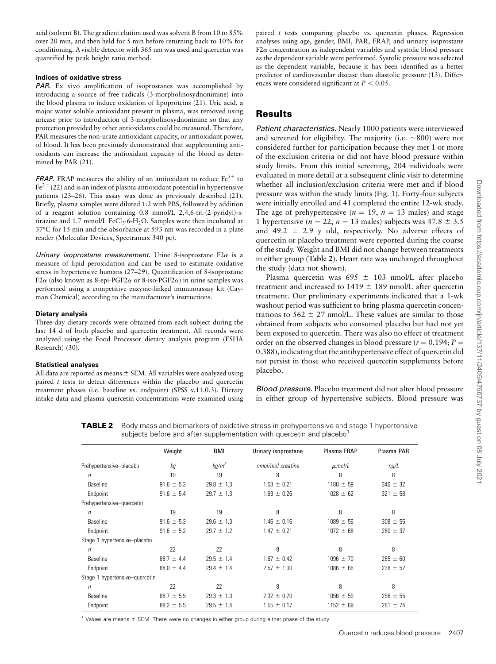acid (solvent B). The gradient elution used was solvent B from 10 to 85% over 20 min, and then held for 5 min before returning back to 10% for conditioning. A visible detector with 365 nm was used and quercetin was quantified by peak height ratio method.

## Indices of oxidative stress

PAR. Ex vivo amplification of isoprostanes was accomplished by introducing a source of free radicals (3-morpholinosydnonimine) into the blood plasma to induce oxidation of lipoproteins (21). Uric acid, a major water soluble antioxidant present in plasma, was removed using uricase prior to introduction of 3-morpholinosydnonimine so that any protection provided by other antioxidants could be measured. Therefore, PAR measures the non-urate antioxidant capacity, or antioxidant power, of blood. It has been previously demonstrated that supplementing antioxidants can increase the antioxidant capacity of the blood as determined by PAR (21).

**FRAP.** FRAP measures the ability of an antioxidant to reduce  $Fe<sup>3+</sup>$  to  $Fe<sup>2+</sup>$  (22) and is an index of plasma antioxidant potential in hypertensive patients (23–26). This assay was done as previously described (21). Briefly, plasma samples were diluted 1:2 with PBS, followed by addition of a reagent solution containing 0.8 mmol/L 2,4,6-tri-(2-pyridyl)-stirazine and 1.7 mmol/L FeCl<sub>3</sub>.6-H<sub>2</sub>O. Samples were then incubated at 37°C for 15 min and the absorbance at 593 nm was recorded in a plate reader (Molecular Devices, Spectramax 340 pc).

Urinary isoprostane measurement. Urine 8-isoprostane  $F2\alpha$  is a measure of lipid peroxidation and can be used to estimate oxidative stress in hypertensive humans (27–29). Quantification of 8-isoprostane F2 $\alpha$  (also known as 8-epi-PGF2 $\alpha$  or 8-iso-PGF2 $\alpha$ ) in urine samples was performed using a competitive enzyme-linked immunoassay kit (Cayman Chemical) according to the manufacturer's instructions.

## Dietary analysis

Three-day dietary records were obtained from each subject during the last 14 d of both placebo and quercetin treatment. All records were analyzed using the Food Processor dietary analysis program (ESHA Research) (30).

## Statistical analyses

All data are reported as means  $\pm$  SEM. All variables were analyzed using paired  $t$  tests to detect differences within the placebo and quercetin treatment phases (i.e. baseline vs. endpoint) (SPSS v.11.0.3). Dietary intake data and plasma quercetin concentrations were examined using paired t tests comparing placebo vs. quercetin phases. Regression analyses using age, gender, BMI, PAR, FRAP, and urinary isoprostane  $F2\alpha$  concentration as independent variables and systolic blood pressure as the dependent variable were performed. Systolic pressure was selected as the dependent variable, because it has been identified as a better predictor of cardiovascular disease than diastolic pressure (13). Differences were considered significant at  $P < 0.05$ .

# Results

Patient characteristics. Nearly 1000 patients were interviewed and screened for eligibility. The majority (i.e.  $\sim$ 800) were not considered further for participation because they met 1 or more of the exclusion criteria or did not have blood pressure within study limits. From this initial screening, 204 individuals were evaluated in more detail at a subsequent clinic visit to determine whether all inclusion/exclusion criteria were met and if blood pressure was within the study limits (Fig. 1). Forty-four subjects were initially enrolled and 41 completed the entire 12-wk study. The age of prehypertensive ( $n = 19$ ,  $n = 13$  males) and stage 1 hypertensive ( $n = 22$ ,  $n = 13$  males) subjects was  $47.8 \pm 3.5$ and 49.2  $\pm$  2.9 y old, respectively. No adverse effects of quercetin or placebo treatment were reported during the course of the study. Weight and BMI did not change between treatments in either group (Table 2). Heart rate was unchanged throughout the study (data not shown).

Plasma quercetin was  $695 \pm 103$  nmol/L after placebo treatment and increased to  $1419 \pm 189$  nmol/L after quercetin treatment. Our preliminary experiments indicated that a 1-wk washout period was sufficient to bring plasma quercetin concentrations to  $562 \pm 27$  nmol/L. These values are similar to those obtained from subjects who consumed placebo but had not yet been exposed to quercetin. There was also no effect of treatment order on the observed changes in blood pressure ( $r = 0.194; P =$ 0.388), indicating that the antihypertensive effect of quercetin did not persist in those who received quercetin supplements before placebo.

Blood pressure. Placebo treatment did not alter blood pressure in either group of hypertensive subjects. Blood pressure was

**TABLE 2** Body mass and biomarkers of oxidative stress in prehypertensive and stage 1 hypertensive subjects before and after supplementation with quercetin and placebo $1$ 

|                                | Weight         | <b>BMI</b>        | Urinary isoprostane | Plasma FRAP   | Plasma PAR   |
|--------------------------------|----------------|-------------------|---------------------|---------------|--------------|
| Prehypertensive-placebo        | kд             | kg/m <sup>2</sup> | nmol/mol creatine   | $\mu$ mol/L   | ng/L         |
| $\sqrt{n}$                     | 19             | 19                | 8                   | 8             | 8            |
| Baseline                       | $91.6 \pm 5.3$ | $29.8 \pm 1.3$    | $1.53 \pm 0.21$     | $1180 \pm 59$ | $346 \pm 32$ |
| Endpoint                       | $91.6 \pm 5.4$ | $29.7 \pm 1.3$    | $1.69 \pm 0.26$     | $1028 \pm 62$ | $321 \pm 58$ |
| Prehypertensive-quercetin      |                |                   |                     |               |              |
| $\sqrt{n}$                     | 19             | 19                | 8                   | 8             | 8            |
| Baseline                       | $91.6 \pm 5.3$ | $29.6 \pm 1.3$    | $1.46 \pm 0.16$     | $1089 \pm 56$ | $308 \pm 55$ |
| Endpoint                       | $91.6 \pm 5.2$ | $29.7 \pm 1.2$    | $1.47 \pm 0.21$     | $1072 \pm 68$ | $280 \pm 37$ |
| Stage 1 hypertensive-placebo   |                |                   |                     |               |              |
| $\sqrt{n}$                     | 22             | 22                | 8                   | 8             | 8            |
| Baseline                       | $88.7 \pm 4.4$ | $29.5 \pm 1.4$    | $1.67 \pm 0.42$     | $1096 \pm 70$ | $285 \pm 60$ |
| Endpoint                       | $88.0 \pm 4.4$ | $29.4 \pm 1.4$    | $2.57 \pm 1.00$     | $1086 \pm 66$ | $238 \pm 52$ |
| Stage 1 hypertensive-quercetin |                |                   |                     |               |              |
| $\sqrt{n}$                     | 22             | 22                | 8                   | 8             | 8            |
| Baseline                       | $88.7 \pm 5.5$ | $29.3 \pm 1.3$    | $2.32 \pm 0.70$     | $1056 \pm 59$ | $258 \pm 55$ |
| Endpoint                       | $88.2 \pm 5.5$ | $29.5 \pm 1.4$    | $1.55 \pm 0.17$     | $1152 \pm 69$ | $281 \pm 74$ |

<sup>1</sup> Values are means  $\pm$  SEM. There were no changes in either group during either phase of the study.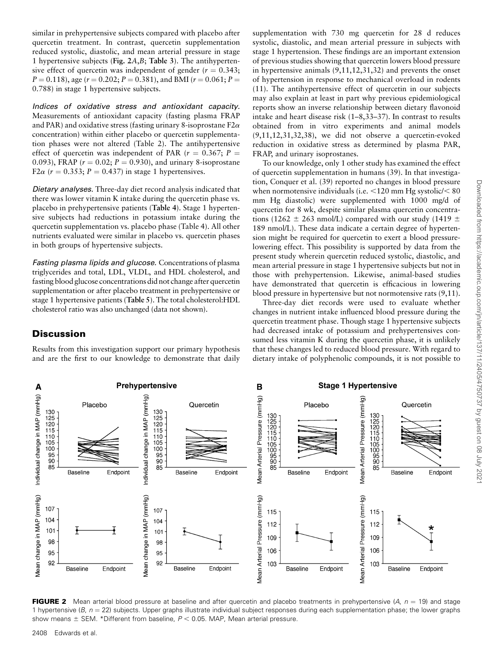Downloaded from https://academic.oup.com/jn/article/137/11/2405/4750737 by guest on 08 July 202 Downloaded from https://academic.oup.com/jn/article/137/11/2405/4750737 by guest on 08 July 2021

similar in prehypertensive subjects compared with placebo after quercetin treatment. In contrast, quercetin supplementation reduced systolic, diastolic, and mean arterial pressure in stage 1 hypertensive subjects (Fig. 2A,B; Table 3). The antihypertensive effect of quercetin was independent of gender ( $r = 0.343$ ;  $P = 0.118$ ), age ( $r = 0.202$ ;  $P = 0.381$ ), and BMI ( $r = 0.061$ ;  $P =$ 0.788) in stage 1 hypertensive subjects.

Indices of oxidative stress and antioxidant capacity. Measurements of antioxidant capacity (fasting plasma FRAP and PAR) and oxidative stress (fasting urinary 8-isoprostane  $F2\alpha$ concentration) within either placebo or quercetin supplementation phases were not altered (Table 2). The antihypertensive effect of quercetin was independent of PAR ( $r = 0.367$ ; P = 0.093), FRAP ( $r = 0.02$ ;  $P = 0.930$ ), and urinary 8-isoprostane F2 $\alpha$  ( $r = 0.353$ ; P = 0.437) in stage 1 hypertensives.

Dietary analyses. Three-day diet record analysis indicated that there was lower vitamin K intake during the quercetin phase vs. placebo in prehypertensive patients (Table 4). Stage 1 hypertensive subjects had reductions in potassium intake during the quercetin supplementation vs. placebo phase (Table 4). All other nutrients evaluated were similar in placebo vs. quercetin phases in both groups of hypertensive subjects.

Fasting plasma lipids and glucose. Concentrations of plasma triglycerides and total, LDL, VLDL, and HDL cholesterol, and fasting blood glucose concentrations did not change after quercetin supplementation or after placebo treatment in prehypertensive or stage 1 hypertensive patients (Table 5). The total cholesterol:HDL cholesterol ratio was also unchanged (data not shown).

# **Discussion**

Results from this investigation support our primary hypothesis and are the first to our knowledge to demonstrate that daily

supplementation with 730 mg quercetin for 28 d reduces systolic, diastolic, and mean arterial pressure in subjects with stage 1 hypertension. These findings are an important extension of previous studies showing that quercetin lowers blood pressure in hypertensive animals (9,11,12,31,32) and prevents the onset of hypertension in response to mechanical overload in rodents (11). The antihypertensive effect of quercetin in our subjects may also explain at least in part why previous epidemiological reports show an inverse relationship between dietary flavonoid intake and heart disease risk (1–8,33–37). In contrast to results obtained from in vitro experiments and animal models (9,11,12,31,32,38), we did not observe a quercetin-evoked reduction in oxidative stress as determined by plasma PAR, FRAP, and urinary isoprostanes.

To our knowledge, only 1 other study has examined the effect of quercetin supplementation in humans (39). In that investigation, Conquer et al. (39) reported no changes in blood pressure when normotensive individuals (i.e.  $\leq$ 120 mm Hg systolic/ $\leq$  80 mm Hg diastolic) were supplemented with 1000 mg/d of quercetin for 8 wk, despite similar plasma quercetin concentrations (1262  $\pm$  263 nmol/L) compared with our study (1419  $\pm$ 189 nmol/L). These data indicate a certain degree of hypertension might be required for quercetin to exert a blood pressurelowering effect. This possibility is supported by data from the present study wherein quercetin reduced systolic, diastolic, and mean arterial pressure in stage 1 hypertensive subjects but not in those with prehypertension. Likewise, animal-based studies have demonstrated that quercetin is efficacious in lowering blood pressure in hypertensive but not normotensive rats (9,11).

Three-day diet records were used to evaluate whether changes in nutrient intake influenced blood pressure during the quercetin treatment phase. Though stage 1 hypertensive subjects had decreased intake of potassium and prehypertensives consumed less vitamin K during the quercetin phase, it is unlikely that these changes led to reduced blood pressure. With regard to dietary intake of polyphenolic compounds, it is not possible to



**FIGURE 2** Mean arterial blood pressure at baseline and after quercetin and placebo treatments in prehypertensive  $(A, n = 19)$  and stage 1 hypertensive (B,  $n = 22$ ) subjects. Upper graphs illustrate individual subject responses during each supplementation phase; the lower graphs show means  $\pm$  SEM. \*Different from baseline,  $P < 0.05$ . MAP, Mean arterial pressure.

2408 Edwards et al.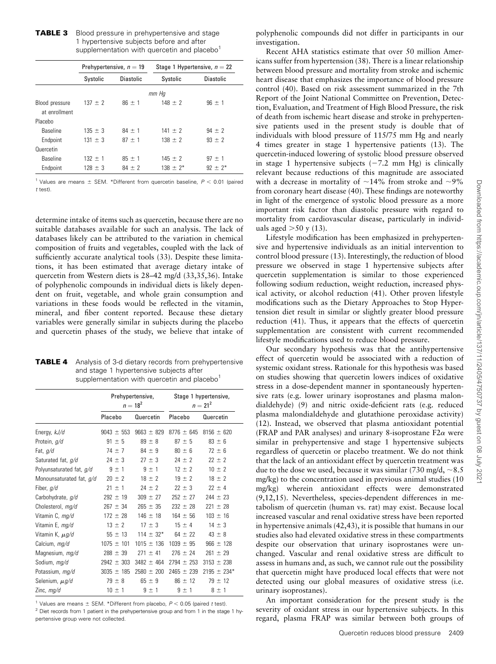# **TABLE 3** Blood pressure in prehypertensive and stage 1 hypertensive subjects before and after supplementation with quercetin and placebo $1$

|                                 | Prehypertensive, $n = 19$ |                  | Stage 1 Hypertensive, $n = 22$ |                  |  |  |
|---------------------------------|---------------------------|------------------|--------------------------------|------------------|--|--|
|                                 | Systolic                  | <b>Diastolic</b> | Systolic                       | <b>Diastolic</b> |  |  |
|                                 | mm Hq                     |                  |                                |                  |  |  |
| Blood pressure<br>at enrollment | $137 \pm 2$               | $86 \pm 1$       | $148 \pm 2$                    | $96 \pm 1$       |  |  |
| Placebo                         |                           |                  |                                |                  |  |  |
| Baseline                        | $135 \pm 3$               | $84 + 1$         | $141 \pm 2$                    | $94 + 2$         |  |  |
| Endpoint                        | $131 \pm 3$               | $87 \pm 1$       | $138 \pm 2$                    | $93 \pm 2$       |  |  |
| Quercetin                       |                           |                  |                                |                  |  |  |
| <b>Baseline</b>                 | $132 \pm 1$               | $85 \pm 1$       | $145 \pm 2$                    | $97 + 1$         |  |  |
| Endpoint                        | $128 \pm 3$               | $84 \pm 2$       | $138 \pm 2^*$                  | $92 \pm 2^*$     |  |  |

<sup>1</sup> Values are means  $\pm$  SEM. \*Different from quercetin baseline,  $P < 0.01$  (paired t test).

determine intake of items such as quercetin, because there are no suitable databases available for such an analysis. The lack of databases likely can be attributed to the variation in chemical composition of fruits and vegetables, coupled with the lack of sufficiently accurate analytical tools (33). Despite these limitations, it has been estimated that average dietary intake of quercetin from Western diets is 28–42 mg/d (33,35,36). Intake of polyphenolic compounds in individual diets is likely dependent on fruit, vegetable, and whole grain consumption and variations in these foods would be reflected in the vitamin, mineral, and fiber content reported. Because these dietary variables were generally similar in subjects during the placebo and quercetin phases of the study, we believe that intake of

| <b>TABLE 4</b> Analysis of 3-d dietary records from prehypertensive |
|---------------------------------------------------------------------|
| and stage 1 hypertensive subjects after                             |
| supplementation with quercetin and placebo <sup>1</sup>             |

|                          | Prehypertensive,<br>$n = 18^2$ |                | Stage 1 hypertensive,<br>$n = 21^2$ |                 |
|--------------------------|--------------------------------|----------------|-------------------------------------|-----------------|
|                          | Placebo                        | Quercetin      | Placebo                             | Quercetin       |
| Energy, kJ/d             | $9043 \pm 553$                 | $9663 \pm 829$ | $8776 \pm 645$                      | $8156 \pm 620$  |
| Protein, g/d             | $91 \pm 5$                     | $89 \pm 8$     | $87 \pm 5$                          | $83 \pm 6$      |
| Fat, g/d                 | $74 \pm 7$                     | $84 \pm 9$     | $80 \pm 6$                          | $72 \pm 6$      |
| Saturated fat, g/d       | $24 \pm 3$                     | $27 \pm 3$     | $24 \pm 2$                          | $22 \pm 2$      |
| Polyunsaturated fat, g/d | $9 \pm 1$                      | $9 \pm 1$      | $12 \pm 2$                          | $10 \pm 2$      |
| Monounsaturated fat, g/d | $20 \pm 2$                     | $18 \pm 2$     | $19 \pm 2$                          | $18 \pm 2$      |
| Fiber, g/d               | $21 \pm 1$                     | $24 \pm 2$     | $22 \pm 3$                          | $22 \pm 4$      |
| Carbohydrate, g/d        | $292 \pm 19$                   | $309 \pm 27$   | $252 \pm 27$                        | $244 \pm 23$    |
| Cholesterol, mg/d        | $267 \pm 34$                   | $265 \pm 35$   | $232 \pm 28$                        | $221 \pm 28$    |
| Vitamin C, mg/d          | $172 \pm 28$                   | $146 \pm 18$   | $164 \pm 56$                        | $103 \pm 16$    |
| Vitamin E, mg/d          | $13 \pm 2$                     | $17 \pm 3$     | $15 \pm 4$                          | $14 \pm 3$      |
| Vitamin K, $\mu$ g/d     | $55 \pm 13$                    | $114 \pm 32^*$ | $64 \pm 22$                         | $43 \pm 8$      |
| Calcium, mg/d            | $1075 \pm 101$                 | $1015 \pm 136$ | $1039 \pm 95$                       | $966 \pm 128$   |
| Magnesium, mg/d          | $288 \pm 39$                   | $271 \pm 41$   | $276 \pm 24$                        | $261 \pm 29$    |
| Sodium, mg/d             | $2942 \pm 303$                 | $3482 \pm 464$ | $2794 \pm 253$                      | $3153 \pm 238$  |
| Potassium, mg/d          | $3035 \pm 185$                 | $2580 \pm 200$ | $2465 \pm 239$                      | $2195 \pm 234*$ |
| Selenium, $\mu$ g/d      | $79 \pm 8$                     | $65 \pm 9$     | $86 \pm 12$                         | $79 \pm 12$     |
| Zinc, $mg/d$             | $10 \pm 1$                     | $9 \pm 1$      | $9 \pm 1$                           | $8 \pm 1$       |

<sup>1</sup> Values are means  $\pm$  SEM. \*Different from placebo,  $P < 0.05$  (paired t test).  $2$  Diet records from 1 patient in the prehypertensive group and from 1 in the stage 1 hypertensive group were not collected.

polyphenolic compounds did not differ in participants in our investigation.

Recent AHA statistics estimate that over 50 million Americans suffer from hypertension (38). There is a linear relationship between blood pressure and mortality from stroke and ischemic heart disease that emphasizes the importance of blood pressure control (40). Based on risk assessment summarized in the 7th Report of the Joint National Committee on Prevention, Detection, Evaluation, and Treatment of High Blood Pressure, the risk of death from ischemic heart disease and stroke in prehypertensive patients used in the present study is double that of individuals with blood pressure of 115/75 mm Hg and nearly 4 times greater in stage 1 hypertensive patients (13). The quercetin-induced lowering of systolic blood pressure observed in stage 1 hypertensive subjects  $(-7.2 \text{ mm Hg})$  is clinically relevant because reductions of this magnitude are associated with a decrease in mortality of  $\sim$ 14% from stroke and  $\sim$ 9% from coronary heart disease (40). These findings are noteworthy in light of the emergence of systolic blood pressure as a more important risk factor than diastolic pressure with regard to mortality from cardiovascular disease, particularly in individuals aged  $>50$  y (13).

Lifestyle modification has been emphasized in prehypertensive and hypertensive individuals as an initial intervention to control blood pressure (13). Interestingly, the reduction of blood pressure we observed in stage 1 hypertensive subjects after quercetin supplementation is similar to those experienced following sodium reduction, weight reduction, increased physical activity, or alcohol reduction (41). Other proven lifestyle modifications such as the Dietary Approaches to Stop Hypertension diet result in similar or slightly greater blood pressure reduction (41). Thus, it appears that the effects of quercetin supplementation are consistent with current recommended lifestyle modifications used to reduce blood pressure.

Our secondary hypothesis was that the antihypertensive effect of quercetin would be associated with a reduction of systemic oxidant stress. Rationale for this hypothesis was based on studies showing that quercetin lowers indices of oxidative stress in a dose-dependent manner in spontaneously hypertensive rats (e.g. lower urinary isoprostanes and plasma malondialdehyde) (9) and nitric oxide-deficient rats (e.g. reduced plasma malondialdehyde and glutathione peroxidase activity) (12). Instead, we observed that plasma antioxidant potential (FRAP and PAR analyses) and urinary 8-isoprostane  $F2\alpha$  were similar in prehypertensive and stage 1 hypertensive subjects regardless of quercetin or placebo treatment. We do not think that the lack of an antioxidant effect by quercetin treatment was due to the dose we used, because it was similar (730 mg/d,  $\sim$ 8.5 mg/kg) to the concentration used in previous animal studies (10 mg/kg) wherein antioxidant effects were demonstrated (9,12,15). Nevertheless, species-dependent differences in metabolism of quercetin (human vs. rat) may exist. Because local increased vascular and renal oxidative stress have been reported in hypertensive animals (42,43), it is possible that humans in our studies also had elevated oxidative stress in these compartments despite our observation that urinary isoprostanes were unchanged. Vascular and renal oxidative stress are difficult to assess in humans and, as such, we cannot rule out the possibility that quercetin might have produced local effects that were not detected using our global measures of oxidative stress (i.e. urinary isoprostanes).

An important consideration for the present study is the severity of oxidant stress in our hypertensive subjects. In this regard, plasma FRAP was similar between both groups of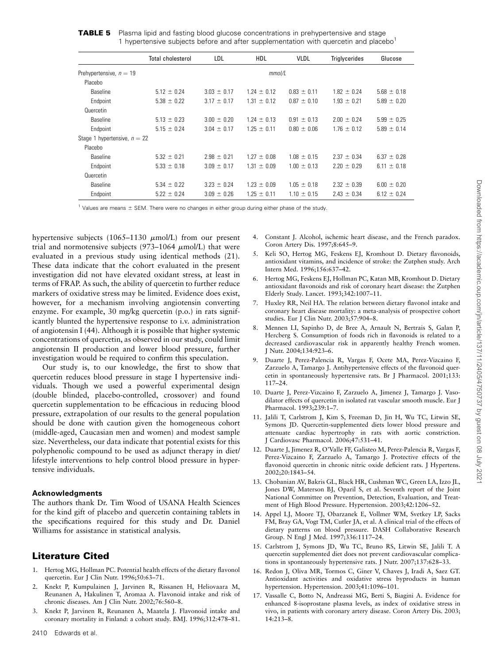|                                | <b>Total cholesterol</b> | LDL             | <b>HDL</b>      | <b>VLDL</b>     | <b>Triglycerides</b> | Glucose         |
|--------------------------------|--------------------------|-----------------|-----------------|-----------------|----------------------|-----------------|
| Prehypertensive, $n = 19$      |                          | mmol/L          |                 |                 |                      |                 |
| Placebo                        |                          |                 |                 |                 |                      |                 |
| <b>Baseline</b>                | $5.12 \pm 0.24$          | $3.03 \pm 0.17$ | $1.24 \pm 0.12$ | $0.83 \pm 0.11$ | $1.82 \pm 0.24$      | $5.68 \pm 0.18$ |
| Endpoint                       | $5.38 \pm 0.22$          | $3.17 \pm 0.17$ | $1.31 \pm 0.12$ | $0.87 \pm 0.10$ | $1.93 \pm 0.21$      | $5.89 \pm 0.20$ |
| Quercetin                      |                          |                 |                 |                 |                      |                 |
| <b>Baseline</b>                | $5.13 \pm 0.23$          | $3.00 \pm 0.20$ | $1.24 \pm 0.13$ | $0.91 \pm 0.13$ | $2.00 \pm 0.24$      | $5.99 \pm 0.25$ |
| Endpoint                       | $5.15 \pm 0.24$          | $3.04 \pm 0.17$ | $1.25 \pm 0.11$ | $0.80 \pm 0.06$ | $1.76 \pm 0.12$      | $5.89 \pm 0.14$ |
| Stage 1 hypertensive, $n = 22$ |                          |                 |                 |                 |                      |                 |
| Placebo                        |                          |                 |                 |                 |                      |                 |
| Baseline                       | $5.32 \pm 0.21$          | $2.98 \pm 0.21$ | $1.27 \pm 0.08$ | $1.08 \pm 0.15$ | $2.37 \pm 0.34$      | 6.37 $\pm$ 0.28 |
| Endpoint                       | $5.33 \pm 0.18$          | $3.09 \pm 0.17$ | $1.31 \pm 0.09$ | $1.00 \pm 0.13$ | $2.20 \pm 0.29$      | $6.11 \pm 0.18$ |
| Quercetin                      |                          |                 |                 |                 |                      |                 |
| Baseline                       | $5.34 \pm 0.22$          | $3.23 \pm 0.24$ | $1.23 \pm 0.09$ | $1.05 \pm 0.18$ | $2.32 \pm 0.39$      | $6.00 \pm 0.20$ |
| Endpoint                       | $5.22 \pm 0.24$          | $3.09 \pm 0.26$ | $1.25 \pm 0.11$ | $1.10 \pm 0.15$ | $2.43 \pm 0.34$      | $6.12 \pm 0.24$ |

<sup>1</sup> Values are means  $\pm$  SEM. There were no changes in either group during either phase of the study.

hypertensive subjects (1065–1130  $\mu$ mol/L) from our present trial and normotensive subjects (973-1064  $\mu$ mol/L) that were evaluated in a previous study using identical methods (21). These data indicate that the cohort evaluated in the present investigation did not have elevated oxidant stress, at least in terms of FRAP. As such, the ability of quercetin to further reduce markers of oxidative stress may be limited. Evidence does exist, however, for a mechanism involving angiotensin converting enzyme. For example, 30 mg/kg quercetin (p.o.) in rats significantly blunted the hypertensive response to i.v. administration of angiotensin I (44). Although it is possible that higher systemic concentrations of quercetin, as observed in our study, could limit angiotensin II production and lower blood pressure, further investigation would be required to confirm this speculation.

Our study is, to our knowledge, the first to show that quercetin reduces blood pressure in stage I hypertensive individuals. Though we used a powerful experimental design (double blinded, placebo-controlled, crossover) and found quercetin supplementation to be efficacious in reducing blood pressure, extrapolation of our results to the general population should be done with caution given the homogeneous cohort (middle-aged, Caucasian men and women) and modest sample size. Nevertheless, our data indicate that potential exists for this polyphenolic compound to be used as adjunct therapy in diet/ lifestyle interventions to help control blood pressure in hypertensive individuals.

# Acknowledgments

The authors thank Dr. Tim Wood of USANA Health Sciences for the kind gift of placebo and quercetin containing tablets in the specifications required for this study and Dr. Daniel Williams for assistance in statistical analysis.

# Literature Cited

- 1. Hertog MG, Hollman PC. Potential health effects of the dietary flavonol quercetin. Eur J Clin Nutr. 1996;50:63–71.
- 2. Knekt P, Kumpulainen J, Jarvinen R, Rissanen H, Heliovaara M, Reunanen A, Hakulinen T, Aromaa A. Flavonoid intake and risk of chronic diseases. Am J Clin Nutr. 2002;76:560–8.
- 3. Knekt P, Jarvinen R, Reunanen A, Maatela J. Flavonoid intake and coronary mortality in Finland: a cohort study. BMJ. 1996;312:478–81.
- 4. Constant J. Alcohol, ischemic heart disease, and the French paradox. Coron Artery Dis. 1997;8:645–9.
- 5. Keli SO, Hertog MG, Feskens EJ, Kromhout D. Dietary flavonoids, antioxidant vitamins, and incidence of stroke: the Zutphen study. Arch Intern Med. 1996;156:637–42.
- 6. Hertog MG, Feskens EJ, Hollman PC, Katan MB, Kromhout D. Dietary antioxidant flavonoids and risk of coronary heart disease: the Zutphen Elderly Study. Lancet. 1993;342:1007–11.
- 7. Huxley RR, Neil HA. The relation between dietary flavonol intake and coronary heart disease mortality: a meta-analysis of prospective cohort studies. Eur J Clin Nutr. 2003;57:904–8.
- 8. Mennen LI, Sapinho D, de Bree A, Arnault N, Bertrais S, Galan P, Hercberg S. Consumption of foods rich in flavonoids is related to a decreased cardiovascular risk in apparently healthy French women. J Nutr. 2004;134:923–6.
- 9. Duarte J, Perez-Palencia R, Vargas F, Ocete MA, Perez-Vizcaino F, Zarzuelo A, Tamargo J. Antihypertensive effects of the flavonoid quercetin in spontaneously hypertensive rats. Br J Pharmacol. 2001;133: 117–24.
- 10. Duarte J, Perez-Vizcaino F, Zarzuelo A, Jimenez J, Tamargo J. Vasodilator effects of quercetin in isolated rat vascular smooth muscle. Eur J Pharmacol. 1993;239:1–7.
- 11. Jalili T, Carlstrom J, Kim S, Freeman D, Jin H, Wu TC, Litwin SE, Symons JD. Quercetin-supplemented diets lower blood pressure and attenuate cardiac hypertrophy in rats with aortic constriction. J Cardiovasc Pharmacol. 2006;47:531–41.
- 12. Duarte J, Jimenez R, O'Valle FF, Galisteo M, Perez-Palencia R, Vargas F, Perez-Vizcaino F, Zarzuelo A, Tamargo J. Protective effects of the flavonoid quercetin in chronic nitric oxide deficient rats. J Hypertens. 2002;20:1843–54.
- 13. Chobanian AV, Bakris GL, Black HR, Cushman WC, Green LA, Izzo JL, Jones DW, Materson BJ, Oparil S, et al. Seventh report of the Joint National Committee on Prevention, Detection, Evaluation, and Treatment of High Blood Pressure. Hypertension. 2003;42:1206–52.
- 14. Appel LJ, Moore TJ, Obarzanek E, Vollmer WM, Svetkey LP, Sacks FM, Bray GA, Vogt TM, Cutler JA, et al. A clinical trial of the effects of dietary patterns on blood pressure. DASH Collaborative Research Group. N Engl J Med. 1997;336:1117–24.
- 15. Carlstrom J, Symons JD, Wu TC, Bruno RS, Litwin SE, Jalili T. A quercetin supplemented diet does not prevent cardiovascular complications in spontaneously hypertensive rats. J Nutr. 2007;137:628–33.
- 16. Redon J, Oliva MR, Tormos C, Giner V, Chaves J, Iradi A, Saez GT. Antioxidant activities and oxidative stress byproducts in human hypertension. Hypertension. 2003;41:1096–101.
- 17. Vassalle C, Botto N, Andreassi MG, Berti S, Biagini A. Evidence for enhanced 8-isoprostane plasma levels, as index of oxidative stress in vivo, in patients with coronary artery disease. Coron Artery Dis. 2003; 14:213–8.